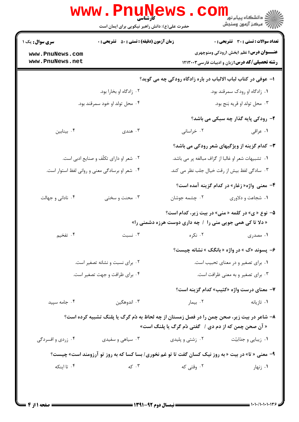| <b>سری سوال :</b> یک ۱<br>www.PnuNews.com<br>www.PnuNews.net | <b>زمان آزمون (دقیقه) : تستی : 50 ٪ تشریحی : 0</b>                                                 |                                                               | <b>تعداد سوالات : تستي : 30 ٪ تشريحي : 0</b>                                                     |  |
|--------------------------------------------------------------|----------------------------------------------------------------------------------------------------|---------------------------------------------------------------|--------------------------------------------------------------------------------------------------|--|
|                                                              |                                                                                                    |                                                               |                                                                                                  |  |
|                                                              |                                                                                                    |                                                               | <b>عنـــوان درس:</b> نظم ۱بخش ۱رودکی ومنوچهری<br>رشته تحصیلی/کد درس: زبان و ادبیات فارسی ۱۲۱۳۰۰۳ |  |
|                                                              |                                                                                                    | ا- عوفی در کتاب لباب الالباب در باره زادگاه رودکی چه می گوید؟ |                                                                                                  |  |
|                                                              | ۰۲ زادگاه او بخارا بود.                                                                            |                                                               | ۰۱ زادگاه او رودک سمرقند بود.                                                                    |  |
|                                                              | ۰۴ محل تولد او خود سمرقند بود.                                                                     |                                                               | ۰۳ محل تولد او قريه بَنج بود.                                                                    |  |
|                                                              |                                                                                                    |                                                               | ۲- رودکی پایه گذار چه سبکی می باشد؟                                                              |  |
| ۰۴ بينابين                                                   | ۰۳ هندی                                                                                            | ۰۲ خراسانی                                                    | ۰۱ عراقی                                                                                         |  |
|                                                              |                                                                                                    |                                                               | ۳- کدام گزینه از ویژگیهای شعر رودکی می باشد؟                                                     |  |
| ۰۲ شعر او دارای تکلّف و صنایع ادبی است.                      |                                                                                                    |                                                               | ۰۱ تشبیهات شعر او غالبا از گزاف مبالغه پر می باشد.                                               |  |
| ۰۴ شعر او برسادگی معنی و روانی لفظ استوار است.               |                                                                                                    | ۰۳ سادگی لفظ بیش از رقت خیال جلب نظر می کند.                  |                                                                                                  |  |
|                                                              |                                                                                                    |                                                               | ۴- معنی واژه« زغار» در کدام گزینه آمده است؟                                                      |  |
| ۰۴ نادانی و جهالت                                            | ۰۳ محنت و سختی                                                                                     | ۰۲ چشمه جوشان                                                 | ٠١. شجاعت و دلاوري                                                                               |  |
|                                                              |                                                                                                    | « دلا تا کی همی جویی منی را / چه داری دوست هرزه دشمنی را»     | <b>۵- نوع « ی» در کلمه « منی» در بیت زیر، کدام است؟</b>                                          |  |
| ۰۴ تفخیم                                                     | ۰۳ نسبت                                                                                            | ۰۲ نکره                                                       | ۰۱ مصدری                                                                                         |  |
|                                                              |                                                                                                    |                                                               | ۶- پسوند «ک » در واژه « بانگک » نشانه چیست؟                                                      |  |
|                                                              | ۰۲ برای نسبت و نشانه تصغیر است.                                                                    | ۰۱ برای تصغیر و در معنای تحبیب است.                           |                                                                                                  |  |
| ۰۴ برای ظرافت و جهت تصغیر است.                               |                                                                                                    | ۰۳ برای تصغیر و به معنی ظرافت است.                            |                                                                                                  |  |
|                                                              |                                                                                                    |                                                               | ۷- معنای درست واژه «کئیب» کدام گزینه است؟                                                        |  |
| ۰۴ جامه سیید                                                 | ۰۳ اندوهگین                                                                                        | ۰۲ بیمار                                                      | ۰۱ تازیانه                                                                                       |  |
|                                                              | ۸– شاعر در بیت زیر، صحن چمن را در فصل زمستان از چه لحاظ به دُم گرگ یا پلنگ تشبیه کرده است؟         | « آن صحن چمن که از دم دی / گفتی دُم گرگ یا پلنگ است»          |                                                                                                  |  |
| ۰۴ زردی و افسردگی                                            | ۰۳ سیاهی و سفیدی                                                                                   | ۰۲ زشتی و پلیدی                                               | ۰۱ زیبایی و جذابیّت                                                                              |  |
|                                                              | ۹- معنی « تا» در بیت « به روز نیک کسان گفت تا تو غم نخوری/ بسا کسا که به روز تو آرزومند است» چیست؟ |                                                               |                                                                                                  |  |
| ۰۴ تا اینکه                                                  | - اس که $\cdot$ ۳                                                                                  | ۰۲ وقتی که                                                    | ۰۱ زنهار                                                                                         |  |

 $= 1.1 \cdot 11.1 \cdot 1175$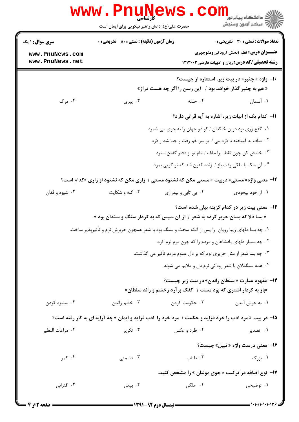|                                    | <b>WWW.PNUNews</b><br>کارشناسی<br>حضرت علی(ع): دانش راهبر نیکویی برای ایمان است                        |                      | ر دانشڪاه پيام نور ■<br>// مرکز آزمون وسنڊش                                                                  |  |
|------------------------------------|--------------------------------------------------------------------------------------------------------|----------------------|--------------------------------------------------------------------------------------------------------------|--|
| <b>سری سوال :</b> ۱ یک             | <b>زمان آزمون (دقیقه) : تستی : 50 ٪ تشریحی : 0</b>                                                     |                      | تعداد سوالات : تستي : 30 ٪ تشريحي : 0                                                                        |  |
| www.PnuNews.com<br>www.PnuNews.net |                                                                                                        |                      | <b>عنـــوان درس:</b> نظم ۱بخش ۱رودکی ومنوچهری<br><b>رشته تحصیلی/کد درس: :</b> زبان و ادبیات فارسی ۱۲۱۳۰۰۳    |  |
|                                    |                                                                                                        |                      | +۱- واژه « چنبر» در بیت زیر، استعاره از چیست؟<br>« هم به چنبر گذار خواهد بود /   این رسن را اگر چه هست دراز» |  |
| ۰۴ مرگ                             | ۰۳ پیری                                                                                                | ۰۲ حلقه              | ۰۱ آسمان                                                                                                     |  |
|                                    |                                                                                                        |                      | 11- كدام يك از ابيات زير، اشاره به آيه قراني دارد؟                                                           |  |
|                                    |                                                                                                        |                      | ۰۱ گنج زری بود درین خاکدان / کو دو جهان را به جوی می شمرد                                                    |  |
|                                    | ۰۲ صاف بد آمیخته با دُرد می / بر سر خم رفت و جدا شد ز دُرد                                             |                      |                                                                                                              |  |
|                                    | ۰۳ خامش کن چون نقط ایرا ملک / نام تو از دفتر گفتن سترد                                                 |                      |                                                                                                              |  |
|                                    |                                                                                                        |                      | ۰۴ آنِ ملک با ملکی رفت باز / زنده کنون شد که تو گویی بمرد                                                    |  |
|                                    | <b>۱۲</b> - معنی واژه« مستی» دربیت « مستی مکن که نشنود مستی / زاری مکن که نشنود او زاری »کدام است؟     |                      |                                                                                                              |  |
| ۰۴ شيوه و فغان                     | ۰۳ گله و شکایت                                                                                         | ۰۲ بی تابی و بیقراری | ۰۱ از خود بیخودی                                                                                             |  |
|                                    | « بسا دلا که بسان حریر کرده به شعر / از آن سپس که به کردار سنگ و سندان بود »                           |                      | ۱۳- معنی بیت زیر در کدام گزینه بیان شده است؟                                                                 |  |
|                                    | ۰۱ چه بسا دلهای زیبا رویان ِ را پس از آنکه سخت و سنگ بود با شعر همچون حریرش نرم و تأثیرپذیر ساخت.      |                      |                                                                                                              |  |
|                                    | ۰۲ چه بسیار دلهای پادشاهان و مردم را که چون موم نرم کرد.                                               |                      |                                                                                                              |  |
|                                    |                                                                                                        |                      | ۰۳ چه بسا شعر او مثل حریری بود که بر دل عموم مردم تأثیر می گذاشت.                                            |  |
|                                    | ۰۴ همه سنگدلان با شعر رودکی نرم دل و ملایم می شوند                                                     |                      |                                                                                                              |  |
|                                    | «باز به کردار اشتری که بود مست / کفک برآرد زخشم و راند سلطان»                                          |                      | ۱۴- مفهوم عبارت « سلطان راندن» در بیت زیر چیست؟                                                              |  |
| ۰۴ ستيزه کردن                      | ۰۳ خشم راندن                                                                                           | ۰۲ حکومت کردن        | ٠١. به جوش آمدن                                                                                              |  |
|                                    | 1۵- در بیت « مرد ادب را خرد فزاید و حکمت / مرد خرد را آدب فزاید و ایمان » چه آرایه ای به کار رفته است؟ |                      |                                                                                                              |  |
| ۰۴ مراعات النظير                   | ۰۳ تکریر                                                                                               | ۰۲ طرد و عکس         | ۰۱ تصدیر                                                                                                     |  |
|                                    |                                                                                                        |                      | ۱۶- معنی درست واژه « نبیل» چیست؟                                                                             |  |
| ۰۴ کمر                             | ۰۳ دشمنی                                                                                               | ۰۲ طناب              | ۰۱ بزرگ                                                                                                      |  |
|                                    |                                                                                                        |                      | ۱۷- نوع اضافه در ترکیب «جوی مولیان » را مشخص کنید.                                                           |  |
| ۰۴ اقترانی                         | ۰۳ بیانی                                                                                               | ۲. ملکی              | ۰۱ توضیحی                                                                                                    |  |
| = صفحه 12: 4 =                     | ـــــــــــ نمساً . دوم ۹۲-۱۳۹۱ ــــــ                                                                 |                      | $=$ ۱۰۱۰/۱۰۱۰۱۰۳۶                                                                                            |  |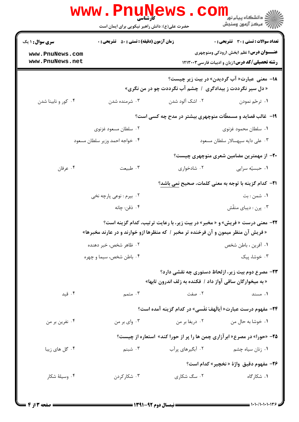|                                           | www.PnuNews                                        |                                                                                    | ڪ دانشڪاه پيا <sub>م</sub> نور<br><mark>ر</mark> 7 مرڪز آزمون وسنڊش                    |
|-------------------------------------------|----------------------------------------------------|------------------------------------------------------------------------------------|----------------------------------------------------------------------------------------|
|                                           | حضرت علی(ع): دانش راهبر نیکویی برای ایمان است      |                                                                                    |                                                                                        |
| <b>سری سوال : ۱ یک</b><br>www.PnuNews.com | <b>زمان آزمون (دقیقه) : تستی : 50 ٪ تشریحی : 0</b> |                                                                                    | تعداد سوالات : تستي : 30 ٪ تشريحي : 0<br><b>عنـــوان درس:</b> نظم ۱بخش ۱رودکی ومنوچهری |
| www.PnuNews.net                           |                                                    |                                                                                    | <b>رشته تحصیلی/کد درس: زبان و ادبیات فارسی۲۰۰۳۰۳</b>                                   |
|                                           |                                                    | « دل سیر نگرددت ز بیدادگری ۱ چشم آب نگرددت چو در من نگری»                          | <b>۱۸</b> - معنی عبارت« آب گردیدن» در بیت زیر چیست؟                                    |
| ۰۴ کور و نابينا شدن                       | ۰۳ شرمنده شدن                                      | ۲. اشک آلود شدن                                                                    | ۰۱ ترحّم نمودن                                                                         |
|                                           |                                                    |                                                                                    | ۱۹- غالب قصاید و مسمطّات منوچهری بیشتر در مدح چه کسی است؟                              |
|                                           | ۰۲ سلطان مسعود غزنوي                               |                                                                                    | ٠١. سلطان محمود غزنوى                                                                  |
|                                           | ۰۴ خواجه احمد وزير سلطان مسعود                     |                                                                                    | ۰۳ على دايه سپهسالار سلطان مسعود                                                       |
|                                           |                                                    |                                                                                    | +۲- از مهمترین مضامین شعری منوچهری چیست؟                                               |
| ۰۴ عرفان                                  | ۰۳ طبیعت                                           | ۰۲ شادخواری                                                                        | ٠١ حبسيّه سرايي                                                                        |
|                                           |                                                    |                                                                                    | <b>۲۱</b> - کدام گزینه با توجه به معنی کلمات، صحیح نمی باشد؟                           |
|                                           | ۰۲ بیرم : نوعی پارچه نخی                           |                                                                                    | ۰۱ شمن : بت                                                                            |
|                                           | ۰۴ ذقن: چانه                                       |                                                                                    | ۰۳ پرن : دیبای منقّش                                                                   |
|                                           |                                                    |                                                                                    | <b>۲۲- معنی درست « فریش» و « مخبر» در بیت زیر، با رعایت ترتیب، کدام گزینه است؟</b>     |
|                                           |                                                    | « فریش آن منظر میمون و آن فرخنده تر مخبر / که منظرها ازو خوارند و در عارند مخبرها» |                                                                                        |
|                                           | ۰۲ ظاهر شخص، خبر دهنده                             |                                                                                    | ٠١ أفرين ، باطن شخص                                                                    |
|                                           | ۰۴ باطن شخص، سیما و چهره                           |                                                                                    | ۰۳ خوشا، پیک                                                                           |
|                                           |                                                    | « به میخوارگان ساقی آواز داد / فکنده به زلف اندرون تابها»                          | <b>۲۳</b> - مصرع دوم بیت زیر، ازلحاظ دستوری چه نقشی دارد؟                              |
| ۰۴ قید                                    | ۰۳ متمم                                            | ۰۲ صفت                                                                             | ۰۱ مسند                                                                                |
|                                           |                                                    |                                                                                    | <b>34-</b> مفهوم درست عبارت« اَیالَهفَ نفَسی» در کدام گزینه اَمده است؟                 |
| ۰۴ نفرين بر من                            | ۰۳ وای بر من                                       | ۰۲ دریغا بر من                                                                     | ٠١ خوشا به حال من                                                                      |
|                                           |                                                    |                                                                                    | <b>۲۵</b> - «حورا» در مصرع« ابرآزاری چمن ها را پر از حورا کند» استعاره از چیست؟        |
| ۰۴ گل های زیبا                            | ۰۳ شبنم                                            | ۲. آبگیرهای پرآب                                                                   | ۰۱ زنان سیاه چشم                                                                       |
|                                           |                                                    |                                                                                    | <b>۲۶- مفهوم دقيق واژهٔ « نخچير» کدام است؟</b>                                         |
| ۰۴ وسیلهٔ شکار                            | ۰۳ شکار کردن                                       | ۰۲ سگ شکاری                                                                        | ۰۱ شکار گاه                                                                            |
|                                           |                                                    |                                                                                    |                                                                                        |